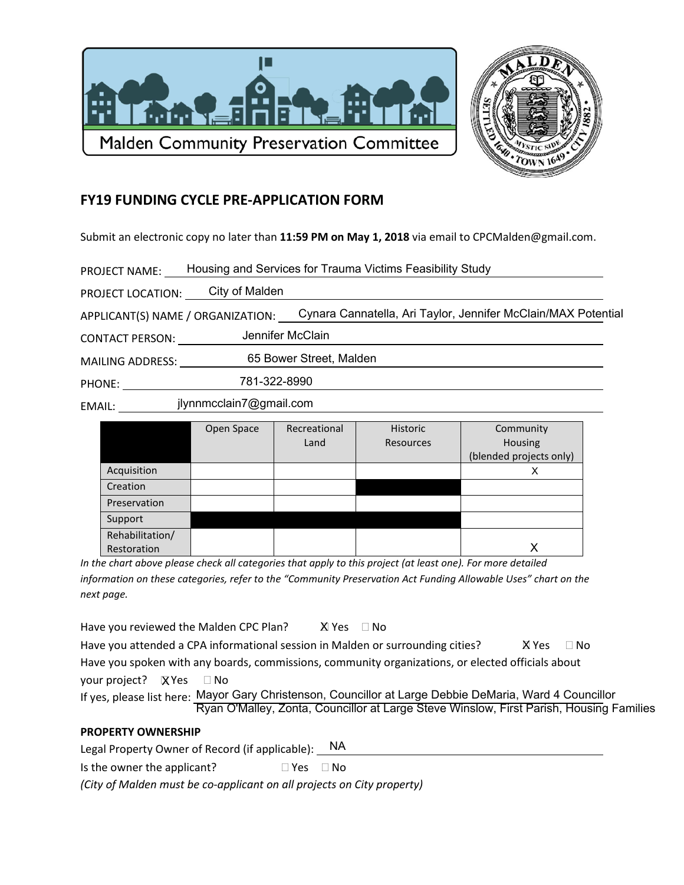



## **FY19 FUNDING CYCLE PRE-APPLICATION FORM**

Submit an electronic copy no later than 11:59 PM on May 1, 2018 via email to CPCMalden@gmail.com.

| <b>PROJECT NAME:</b> | Housing and Services for Trauma Victims Feasibility Study |  |
|----------------------|-----------------------------------------------------------|--|
|                      |                                                           |  |

PROJECT LOCATION: City of Malden

APPLICANT(S) NAME / ORGANIZATION: Cynara Cannatella, Ari Taylor, Jennifer McClain/MAX Potential

Jennifer McClain **CONTACT PERSON:** 

65 Bower Street, Malden 

PHONE: 781-322-8990

EMAIL: jlynnmcclain7@gmail.com

|                 | Open Space | Recreational | Historic  | Community               |
|-----------------|------------|--------------|-----------|-------------------------|
|                 |            | Land         | Resources | Housing                 |
|                 |            |              |           | (blended projects only) |
| Acquisition     |            |              |           | X                       |
| Creation        |            |              |           |                         |
| Preservation    |            |              |           |                         |
| Support         |            |              |           |                         |
| Rehabilitation/ |            |              |           |                         |
| Restoration     |            |              |           |                         |

In the chart above please check all categories that apply to this project (at least one). For more detailed information on these categories, refer to the "Community Preservation Act Funding Allowable Uses" chart on the next page.

Have you reviewed the Malden CPC Plan? X Yes □ No

Have you attended a CPA informational session in Malden or surrounding cities? **X** Yes □ No

Have you spoken with any boards, commissions, community organizations, or elected officials about your project?  $\&$  Yes  $\Box$  No

| If yes, please list here: Mayor Gary Christenson, Councillor at Large Debbie DeMaria, Ward 4 Councillor |
|---------------------------------------------------------------------------------------------------------|
| Ryan O'Malley, Zonta, Councillor at Large Steve Winslow, First Parish, Housing Families                 |

## **PROPERTY OWNERSHIP**

NA. Legal Property Owner of Record (if applicable): \_ Is the owner the applicant?  $\Box$  Yes  $\Box$  No

(City of Malden must be co-applicant on all projects on City property)